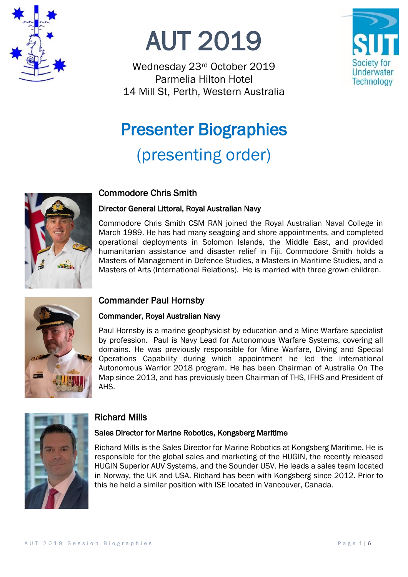

AUT 2019

Wednesday 23rd October 2019 Parmelia Hilton Hotel 14 Mill St, Perth, Western Australia



# Presenter Biographies (presenting order)



# Commodore Chris Smith

#### Director General Littoral, Royal Australian Navy

Commodore Chris Smith CSM RAN joined the Royal Australian Naval College in March 1989. He has had many seagoing and shore appointments, and completed operational deployments in Solomon Islands, the Middle East, and provided humanitarian assistance and disaster relief in Fiji. Commodore Smith holds a Masters of Management in Defence Studies, a Masters in Maritime Studies, and a Masters of Arts (International Relations). He is married with three grown children.



# Commander Paul Hornsby

## Commander, Royal Australian Navy

Paul Hornsby is a marine geophysicist by education and a Mine Warfare specialist by profession. Paul is Navy Lead for Autonomous Warfare Systems, covering all domains. He was previously responsible for Mine Warfare, Diving and Special Operations Capability during which appointment he led the international Autonomous Warrior 2018 program. He has been Chairman of Australia On The Map since 2013, and has previously been Chairman of THS, IFHS and President of AHS.



# Richard Mills

## Sales Director for Marine Robotics, Kongsberg Maritime

Richard Mills is the Sales Director for Marine Robotics at Kongsberg Maritime. He is responsible for the global sales and marketing of the HUGIN, the recently released HUGIN Superior AUV Systems, and the Sounder USV. He leads a sales team located in Norway, the UK and USA. Richard has been with Kongsberg since 2012. Prior to this he held a similar position with ISE located in Vancouver, Canada.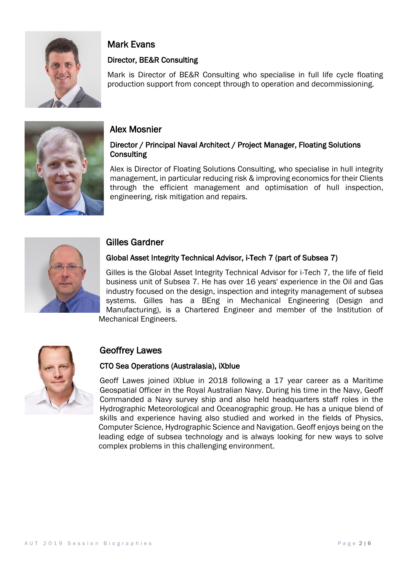

# Mark Evans

## Director, BE&R Consulting

Mark is Director of BE&R Consulting who specialise in full life cycle floating production support from concept through to operation and decommissioning.



## Alex Mosnier

#### Director / Principal Naval Architect / Project Manager, Floating Solutions **Consulting**

Alex is Director of Floating Solutions Consulting, who specialise in hull integrity management, in particular reducing risk & improving economics for their Clients through the efficient management and optimisation of hull inspection, engineering, risk mitigation and repairs.



# Gilles Gardner

## Global Asset Integrity Technical Advisor, i-Tech 7 (part of Subsea 7)

Gilles is the Global Asset Integrity Technical Advisor for i-Tech 7, the life of field business unit of Subsea 7. He has over 16 years' experience in the Oil and Gas industry focused on the design, inspection and integrity management of subsea systems. Gilles has a BEng in Mechanical Engineering (Design and Manufacturing), is a Chartered Engineer and member of the Institution of Mechanical Engineers.



# Geoffrey Lawes

## CTO Sea Operations (Australasia), iXblue

Geoff Lawes joined iXblue in 2018 following a 17 year career as a Maritime Geospatial Officer in the Royal Australian Navy. During his time in the Navy, Geoff Commanded a Navy survey ship and also held headquarters staff roles in the Hydrographic Meteorological and Oceanographic group. He has a unique blend of skills and experience having also studied and worked in the fields of Physics, Computer Science, Hydrographic Science and Navigation. Geoff enjoys being on the leading edge of subsea technology and is always looking for new ways to solve complex problems in this challenging environment.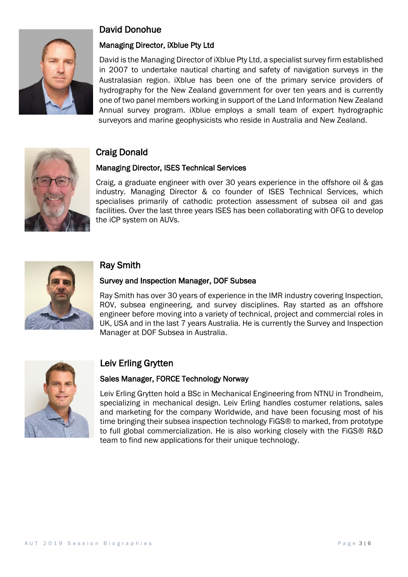

# David Donohue

#### Managing Director, iXblue Pty Ltd

David is the Managing Director of iXblue Pty Ltd, a specialist survey firm established in 2007 to undertake nautical charting and safety of navigation surveys in the Australasian region. iXblue has been one of the primary service providers of hydrography for the New Zealand government for over ten years and is currently one of two panel members working in support of the Land Information New Zealand Annual survey program. iXblue employs a small team of expert hydrographic surveyors and marine geophysicists who reside in Australia and New Zealand.



# Craig Donald

#### Managing Director, ISES Technical Services

Craig, a graduate engineer with over 30 years experience in the offshore oil & gas industry. Managing Director & co founder of ISES Technical Services, which specialises primarily of cathodic protection assessment of subsea oil and gas facilities. Over the last three years ISES has been collaborating with OFG to develop the iCP system on AUVs.



## Ray Smith

#### Survey and Inspection Manager, DOF Subsea

Ray Smith has over 30 years of experience in the IMR industry covering Inspection, ROV, subsea engineering, and survey disciplines. Ray started as an offshore engineer before moving into a variety of technical, project and commercial roles in UK, USA and in the last 7 years Australia. He is currently the Survey and Inspection Manager at DOF Subsea in Australia.



# Leiv Erling Grytten

#### Sales Manager, FORCE Technology Norway

Leiv Erling Grytten hold a BSc in Mechanical Engineering from NTNU in Trondheim, specializing in mechanical design. Leiv Erling handles costumer relations, sales and marketing for the company Worldwide, and have been focusing most of his time bringing their subsea inspection technology FiGS® to marked, from prototype to full global commercialization. He is also working closely with the FiGS® R&D team to find new applications for their unique technology.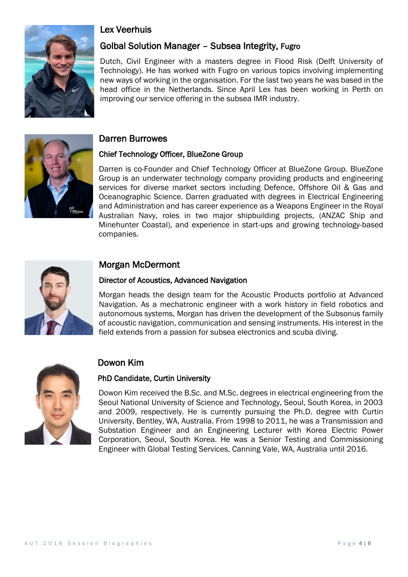

# Lex Veerhuis

# Golbal Solution Manager – Subsea Integrity, Fugro

Dutch, Civil Engineer with a masters degree in Flood Risk (Delft University of Technology). He has worked with Fugro on various topics involving implementing new ways of working in the organisation. For the last two years he was based in the head office in the Netherlands. Since April Lex has been working in Perth on improving our service offering in the subsea IMR industry.



#### Darren Burrowes

#### Chief Technology Officer, BlueZone Group

Darren is co-Founder and Chief Technology Officer at BlueZone Group. BlueZone Group is an underwater technology company providing products and engineering services for diverse market sectors including Defence, Offshore Oil & Gas and Oceanographic Science. Darren graduated with degrees in Electrical Engineering and Administration and has career experience as a Weapons Engineer in the Royal Australian Navy, roles in two major shipbuilding projects, (ANZAC Ship and Minehunter Coastal), and experience in start-ups and growing technology-based companies.



## Morgan McDermont

#### Director of Acoustics, Advanced Navigation

Morgan heads the design team for the Acoustic Products portfolio at Advanced Navigation. As a mechatronic engineer with a work history in field robotics and autonomous systems, Morgan has driven the development of the Subsonus family of acoustic navigation, communication and sensing instruments. His interest in the field extends from a passion for subsea electronics and scuba diving.



## Dowon Kim

#### PhD Candidate, Curtin University

Dowon Kim received the B.Sc. and M.Sc. degrees in electrical engineering from the Seoul National University of Science and Technology, Seoul, South Korea, in 2003 and 2009, respectively. He is currently pursuing the Ph.D. degree with Curtin University, Bentley, WA, Australia. From 1998 to 2011, he was a Transmission and Substation Engineer and an Engineering Lecturer with Korea Electric Power Corporation, Seoul, South Korea. He was a Senior Testing and Commissioning Engineer with Global Testing Services, Canning Vale, WA, Australia until 2016.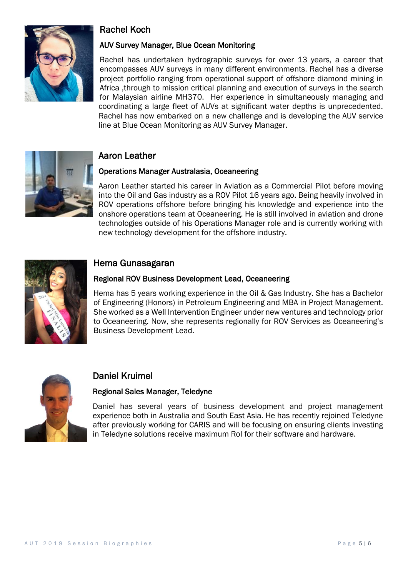

# Rachel Koch

#### AUV Survey Manager, Blue Ocean Monitoring

Rachel has undertaken hydrographic surveys for over 13 years, a career that encompasses AUV surveys in many different environments. Rachel has a diverse project portfolio ranging from operational support of offshore diamond mining in Africa ,through to mission critical planning and execution of surveys in the search for Malaysian airline MH370. Her experience in simultaneously managing and coordinating a large fleet of AUVs at significant water depths is unprecedented. Rachel has now embarked on a new challenge and is developing the AUV service line at Blue Ocean Monitoring as AUV Survey Manager.



# Aaron Leather

#### Operations Manager Australasia, Oceaneering

Aaron Leather started his career in Aviation as a Commercial Pilot before moving into the Oil and Gas industry as a ROV Pilot 16 years ago. Being heavily involved in ROV operations offshore before bringing his knowledge and experience into the onshore operations team at Oceaneering. He is still involved in aviation and drone technologies outside of his Operations Manager role and is currently working with new technology development for the offshore industry.



## Hema Gunasagaran

#### Regional ROV Business Development Lead, Oceaneering

Hema has 5 years working experience in the Oil & Gas Industry. She has a Bachelor of Engineering (Honors) in Petroleum Engineering and MBA in Project Management. She worked as a Well Intervention Engineer under new ventures and technology prior to Oceaneering. Now, she represents regionally for ROV Services as Oceaneering's Business Development Lead.



## Daniel Kruimel

#### Regional Sales Manager, Teledyne

Daniel has several years of business development and project management experience both in Australia and South East Asia. He has recently rejoined Teledyne after previously working for CARIS and will be focusing on ensuring clients investing in Teledyne solutions receive maximum RoI for their software and hardware.